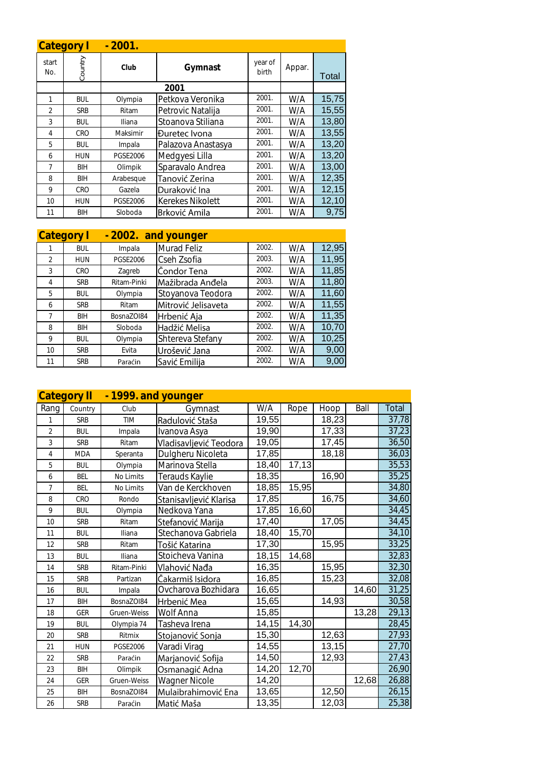|                | Category I | $-2001.$        |                      |                  |        |       |
|----------------|------------|-----------------|----------------------|------------------|--------|-------|
| start<br>No.   | Country    | Club            | Gymnast              | year of<br>birth | Appar. | Total |
|                |            |                 | 2001                 |                  |        |       |
|                | <b>BUL</b> | Olympia         | Petkova Veronika     | 2001.            | W/A    | 15,75 |
| $\mathfrak{D}$ | <b>SRB</b> | Ritam           | Petrovic Natalija    | 2001.            | W/A    | 15,55 |
| 3              | <b>BUL</b> | Iliana          | Stoanova Stiliana    | 2001.            | W/A    | 13,80 |
| 4              | <b>CRO</b> | Maksimir        | <b>Đuretec Ivona</b> | 2001.            | W/A    | 13,55 |
| 5              | <b>BUL</b> | Impala          | Palazova Anastasya   | 2001.            | W/A    | 13,20 |
| 6              | <b>HUN</b> | <b>PGSE2006</b> | Medgyesi Lilla       | 2001.            | W/A    | 13,20 |
| 7              | BIH        | Olimpik         | Sparavalo Andrea     | 2001.            | W/A    | 13,00 |
| 8              | BIH        | Arabesque       | Tanović Zerina       | 2001.            | W/A    | 12,35 |
| 9              | <b>CRO</b> | Gazela          | Duraković Ina        | 2001.            | W/A    | 12,15 |
| 10             | <b>HUN</b> | <b>PGSE2006</b> | Kerekes Nikolett     | 2001.            | W/A    | 12,10 |
| 11             | BIH        | Sloboda         | Brković Amila        | 2001.            | W/A    | 9,75  |

| <b>Category</b> |            | $-2002.$        | and younger         |       |     |       |
|-----------------|------------|-----------------|---------------------|-------|-----|-------|
|                 | <b>BUL</b> | Impala          | Murad Feliz         | 2002. | W/A | 12,95 |
| $\mathfrak{D}$  | <b>HUN</b> | <b>PGSE2006</b> | Cseh Zsofia         | 2003. | W/A | 11,95 |
| 3               | CRO        | Zagreb          | Čondor Tena         | 2002. | W/A | 11,85 |
| 4               | <b>SRB</b> | Ritam-Pinki     | Mažibrada Anđela    | 2003. | W/A | 11,80 |
| 5               | <b>BUL</b> | Olympia         | Stoyanova Teodora   | 2002. | W/A | 11,60 |
| 6               | <b>SRB</b> | Ritam           | Mitrović Jelisaveta | 2002. | W/A | 11,55 |
| 7               | <b>BIH</b> | BosnaZOI84      | Hrbenić Aja         | 2002. | W/A | 11,35 |
| 8               | BIH        | Sloboda         | Hadžić Melisa       | 2002. | W/A | 10,70 |
| 9               | <b>BUL</b> | Olympia         | Shtereva Stefany    | 2002. | W/A | 10,25 |
| 10              | <b>SRB</b> | Evita           | Urošević Jana       | 2002. | W/A | 9,00  |
| 11              | <b>SRB</b> | Paraćin         | Savić Emilija       | 2002. | W/A | 9,00  |

|                | <b>Category II</b><br>- 1999. and younger |                 |                        |        |       |                    |       |       |
|----------------|-------------------------------------------|-----------------|------------------------|--------|-------|--------------------|-------|-------|
| Rang           | Country                                   | Club            | Gymnast                | W/A    | Rope  | Hoop               | Ball  | Total |
| 1              | <b>SRB</b>                                | <b>TIM</b>      | Radulović Staša        | 19,55  |       | 18,23              |       | 37,78 |
| $\overline{2}$ | <b>BUL</b>                                | Impala          | Ivanova Asya           | 19,90  |       | 17,33              |       | 37,23 |
| 3              | <b>SRB</b>                                | Ritam           | Vladisavljević Teodora | 19,05  |       | 17,45              |       | 36,50 |
| 4              | <b>MDA</b>                                | Speranta        | Dulgheru Nicoleta      | 17,85  |       | 18,18              |       | 36,03 |
| 5              | <b>BUL</b>                                | Olympia         | Marinova Stella        | 18,40  | 17,13 |                    |       | 35,53 |
| 6              | <b>BEL</b>                                | No Limits       | Terauds Kaylie         | 18,35  |       | 16,90              |       | 35,25 |
| 7              | <b>BEL</b>                                | No Limits       | Van de Kerckhoven      | 18,85  | 15,95 |                    |       | 34,80 |
| 8              | CRO                                       | Rondo           | Stanisavljević Klarisa | 17,85  |       | 16,75              |       | 34,60 |
| 9              | <b>BUL</b>                                | Olympia         | Nedkova Yana           | 17,85  | 16,60 |                    |       | 34,45 |
| 10             | <b>SRB</b>                                | Ritam           | Stefanović Marija      | 17,40  |       | 17,05              |       | 34,45 |
| 11             | <b>BUL</b>                                | Iliana          | Stechanova Gabriela    | 18,40  | 15,70 |                    |       | 34,10 |
| 12             | <b>SRB</b>                                | Ritam           | Tošić Katarina         | 17,30  |       | 15,95              |       | 33,25 |
| 13             | <b>BUL</b>                                | Iliana          | Stoicheva Vanina       | 18, 15 | 14,68 |                    |       | 32,83 |
| 14             | <b>SRB</b>                                | Ritam-Pinki     | Vlahović Nađa          | 16,35  |       | 15,95              |       | 32,30 |
| 15             | <b>SRB</b>                                | Partizan        | Čakarmiš Isidora       | 16,85  |       | 15,23              |       | 32,08 |
| 16             | <b>BUL</b>                                | Impala          | Ovcharova Bozhidara    | 16,65  |       |                    | 14,60 | 31,25 |
| 17             | BIH                                       | BosnaZOI84      | Hrbenić Mea            | 15,65  |       | 14,93              |       | 30,58 |
| 18             | <b>GER</b>                                | Gruen-Weiss     | Wolf Anna              | 15,85  |       |                    | 13,28 | 29,13 |
| 19             | <b>BUL</b>                                | Olympia 74      | Tasheva Irena          | 14, 15 | 14,30 |                    |       | 28,45 |
| 20             | <b>SRB</b>                                | Ritmix          | Stojanović Sonja       | 15,30  |       | 12,63              |       | 27,93 |
| 21             | <b>HUN</b>                                | <b>PGSE2006</b> | Varadi Virag           | 14,55  |       | 13,15              |       | 27,70 |
| 22             | <b>SRB</b>                                | Paraćin         | Marjanović Sofija      | 14,50  |       | 12,93              |       | 27,43 |
| 23             | <b>BIH</b>                                | Olimpik         | Osmanagić Adna         | 14,20  | 12,70 |                    |       | 26,90 |
| 24             | <b>GER</b>                                | Gruen-Weiss     | <b>Wagner Nicole</b>   | 14,20  |       |                    | 12,68 | 26,88 |
| 25             | <b>BIH</b>                                | BosnaZOI84      | Mulaibrahimović Ena    | 13,65  |       | 12,50              |       | 26,15 |
| 26             | <b>SRB</b>                                | Paraćin         | Matić Maša             | 13,35  |       | $\overline{12,03}$ |       | 25,38 |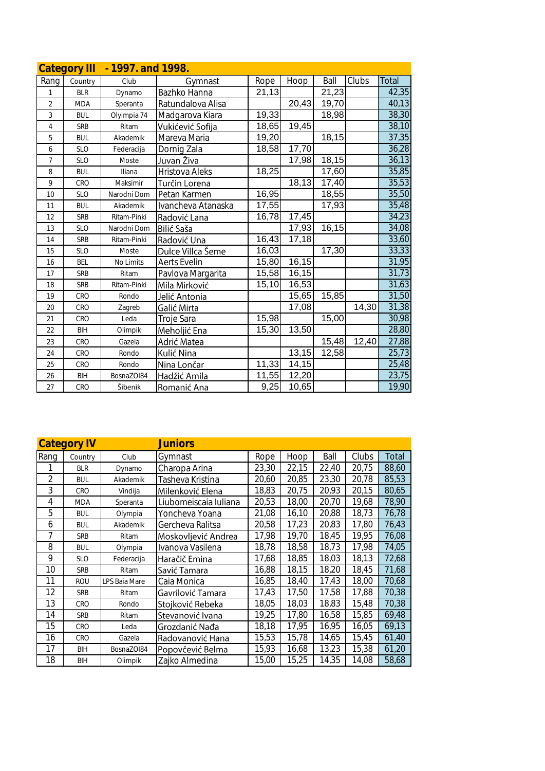|                | <b>Category III</b> | - 1997. and 1998. |                    |       |        |       |       |       |
|----------------|---------------------|-------------------|--------------------|-------|--------|-------|-------|-------|
| Rang           | Country             | Club              | Gymnast            | Rope  | Hoop   | Ball  | Clubs | Total |
| 1              | <b>BLR</b>          | Dynamo            | Bazhko Hanna       | 21,13 |        | 21,23 |       | 42,35 |
| $\overline{2}$ | <b>MDA</b>          | Speranta          | Ratundalova Alisa  |       | 20,43  | 19,70 |       | 40,13 |
| 3              | <b>BUL</b>          | Olyimpia 74       | Madgarova Kiara    | 19,33 |        | 18,98 |       | 38,30 |
| $\overline{4}$ | <b>SRB</b>          | Ritam             | Vukićević Sofija   | 18,65 | 19,45  |       |       | 38,10 |
| 5              | <b>BUL</b>          | Akademik          | Mareva Maria       | 19,20 |        | 18,15 |       | 37,35 |
| 6              | <b>SLO</b>          | Federacija        | Dornig Zala        | 18,58 | 17,70  |       |       | 36,28 |
| $\overline{7}$ | <b>SLO</b>          | Moste             | Juvan Živa         |       | 17,98  | 18,15 |       | 36,13 |
| 8              | <b>BUL</b>          | Iliana            | Hristova Aleks     | 18,25 |        | 17,60 |       | 35,85 |
| 9              | CRO                 | Maksimir          | Turčin Lorena      |       | 18,13  | 17,40 |       | 35,53 |
| 10             | <b>SLO</b>          | Narodni Dom       | Petan Karmen       | 16,95 |        | 18,55 |       | 35,50 |
| 11             | <b>BUL</b>          | Akademik          | Ivancheva Atanaska | 17,55 |        | 17,93 |       | 35,48 |
| 12             | <b>SRB</b>          | Ritam-Pinki       | Radović Lana       | 16,78 | 17,45  |       |       | 34,23 |
| 13             | <b>SLO</b>          | Narodni Dom       | Bilić Saša         |       | 17,93  | 16,15 |       | 34,08 |
| 14             | <b>SRB</b>          | Ritam-Pinki       | Radović Una        | 16,43 | 17,18  |       |       | 33,60 |
| 15             | <b>SLO</b>          | Moste             | Dulce Villca Šeme  | 16,03 |        | 17,30 |       | 33,33 |
| 16             | <b>BEL</b>          | No Limits         | Aerts Evelin       | 15,80 | 16,15  |       |       | 31,95 |
| 17             | <b>SRB</b>          | Ritam             | Pavlova Margarita  | 15,58 | 16, 15 |       |       | 31,73 |
| 18             | <b>SRB</b>          | Ritam-Pinki       | Mila Mirković      | 15,10 | 16,53  |       |       | 31,63 |
| 19             | CRO                 | Rondo             | Jelić Antonia      |       | 15,65  | 15,85 |       | 31,50 |
| 20             | CRO                 | Zagreb            | Galić Mirta        |       | 17,08  |       | 14,30 | 31,38 |
| 21             | CRO                 | Leda              | Troje Sara         | 15,98 |        | 15,00 |       | 30,98 |
| 22             | <b>BIH</b>          | Olimpik           | Meholjić Ena       | 15,30 | 13,50  |       |       | 28,80 |
| 23             | CRO                 | Gazela            | Adrić Matea        |       |        | 15,48 | 12,40 | 27,88 |
| 24             | CRO                 | Rondo             | Kulić Nina         |       | 13,15  | 12,58 |       | 25,73 |
| 25             | CRO                 | Rondo             | Nina Lončar        | 11,33 | 14,15  |       |       | 25,48 |
| 26             | <b>BIH</b>          | BosnaZOI84        | Hadžić Amila       | 11,55 | 12,20  |       |       | 23,75 |
| 27             | CRO                 | Šibenik           | Romanić Ana        | 9,25  | 10,65  |       |       | 19,90 |

| Category IV    |            |               | Juniors               |       |       |       |       |       |
|----------------|------------|---------------|-----------------------|-------|-------|-------|-------|-------|
| Rang           | Country    | Club          | Gymnast               | Rope  | Hoop  | Ball  | Clubs | Total |
|                | <b>BLR</b> | Dynamo        | Charopa Arina         | 23,30 | 22,15 | 22,40 | 20,75 | 88,60 |
| $\overline{2}$ | <b>BUL</b> | Akademik      | Tasheva Kristina      | 20,60 | 20,85 | 23,30 | 20,78 | 85,53 |
| 3              | <b>CRO</b> | Vindija       | Milenković Elena      | 18,83 | 20,75 | 20,93 | 20,15 | 80,65 |
| 4              | <b>MDA</b> | Speranta      | Liubomeiscaia Iuliana | 20,53 | 18,00 | 20,70 | 19,68 | 78,90 |
| 5              | <b>BUL</b> | Olympia       | Yoncheva Yoana        | 21,08 | 16,10 | 20,88 | 18,73 | 76,78 |
| 6              | <b>BUL</b> | Akademik      | Gercheva Ralitsa      | 20,58 | 17,23 | 20,83 | 17,80 | 76,43 |
| 7              | <b>SRB</b> | Ritam         | Moskovljević Andrea   | 17,98 | 19,70 | 18,45 | 19,95 | 76,08 |
| 8              | <b>BUL</b> | Olympia       | Ivanova Vasilena      | 18,78 | 18,58 | 18,73 | 17,98 | 74,05 |
| 9              | <b>SLO</b> | Federacija    | Haračič Emina         | 17,68 | 18,85 | 18,03 | 18,13 | 72,68 |
| 10             | <b>SRB</b> | Ritam         | Savić Tamara          | 16,88 | 18,15 | 18,20 | 18,45 | 71,68 |
| 11             | <b>ROU</b> | LPS Baia Mare | Caia Monica           | 16,85 | 18,40 | 17,43 | 18,00 | 70,68 |
| 12             | <b>SRB</b> | Ritam         | Gavrilović Tamara     | 17,43 | 17,50 | 17,58 | 17,88 | 70,38 |
| 13             | CRO        | Rondo         | Stojković Rebeka      | 18,05 | 18,03 | 18,83 | 15,48 | 70,38 |
| 14             | <b>SRB</b> | Ritam         | Stevanović Ivana      | 19,25 | 17,80 | 16,58 | 15,85 | 69,48 |
| 15             | CRO        | Leda          | Grozdanić Nađa        | 18,18 | 17,95 | 16,95 | 16,05 | 69,13 |
| 16             | CRO        | Gazela        | Radovanović Hana      | 15,53 | 15,78 | 14,65 | 15,45 | 61,40 |
| 17             | <b>BIH</b> | BosnaZOI84    | Popovčević Belma      | 15,93 | 16,68 | 13,23 | 15,38 | 61,20 |
| 18             | BIH        | Olimpik       | Zajko Almedina        | 15,00 | 15,25 | 14,35 | 14,08 | 58,68 |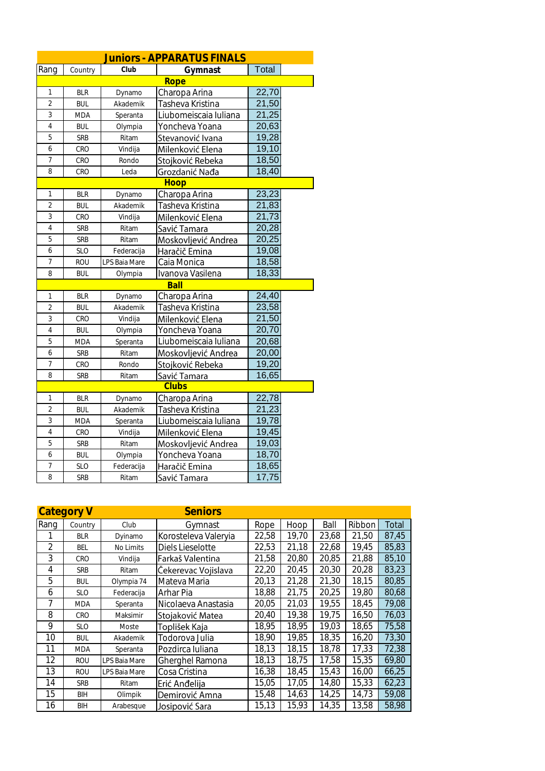|                |            |               | Juniors - APPARATUS FINALS |              |  |
|----------------|------------|---------------|----------------------------|--------------|--|
| Rang           | Country    | Club          | <b>Gymnast</b>             | <b>Total</b> |  |
|                |            |               | Rope                       |              |  |
| 1              | <b>BLR</b> | Dynamo        | Charopa Arina              | 22,70        |  |
| $\overline{2}$ | <b>BUL</b> | Akademik      | Tasheva Kristina           | 21,50        |  |
| 3              | <b>MDA</b> | Speranta      | Liubomeiscaia Iuliana      | 21,25        |  |
| $\overline{4}$ | <b>BUL</b> | Olympia       | Yoncheva Yoana             | 20,63        |  |
| 5              | SRB        | Ritam         | Stevanović Ivana           | 19,28        |  |
| 6              | CRO        | Vindija       | Milenković Elena           | 19,10        |  |
| 7              | CRO        | Rondo         | Stojković Rebeka           | 18,50        |  |
| 8              | CRO        | Leda          | Grozdanić Nađa             | 18,40        |  |
|                |            |               | Hoop                       |              |  |
| $\mathbf 1$    | <b>BLR</b> | Dynamo        | Charopa Arina              | 23,23        |  |
| $\overline{a}$ | <b>BUL</b> | Akademik      | Tasheva Kristina           | 21,83        |  |
| 3              | CRO        | Vindija       | Milenković Elena           | 21,73        |  |
| $\overline{4}$ | <b>SRB</b> | Ritam         | Savić Tamara               | 20,28        |  |
| 5              | <b>SRB</b> | Ritam         | Moskovljević Andrea        | 20,25        |  |
| 6              | <b>SLO</b> | Federacija    | Haračič Emina              | 19,08        |  |
| $\overline{7}$ | <b>ROU</b> | LPS Baia Mare | Caia Monica                | 18,58        |  |
| 8              | <b>BUL</b> | Olympia       | Ivanova Vasilena           | 18,33        |  |
|                |            |               | Ball                       |              |  |
| $\mathbf 1$    | <b>BLR</b> | Dynamo        | Charopa Arina              | 24,40        |  |
| $\overline{2}$ | <b>BUL</b> | Akademik      | Tasheva Kristina           | 23,58        |  |
| 3              | CRO        | Vindija       | Milenković Elena           | 21,50        |  |
| $\overline{4}$ | <b>BUL</b> | Olympia       | Yoncheva Yoana             | 20,70        |  |
| 5              | <b>MDA</b> | Speranta      | Liubomeiscaia Iuliana      | 20,68        |  |
| 6              | SRB        | Ritam         | Moskovljević Andrea        | 20,00        |  |
| $\overline{7}$ | CRO        | Rondo         | Stojković Rebeka           | 19,20        |  |
| 8              | SRB        | Ritam         | Savić Tamara               | 16,65        |  |
|                |            |               | Clubs                      |              |  |
| 1              | <b>BLR</b> | Dynamo        | Charopa Arina              | 22,78        |  |
| $\overline{2}$ | <b>BUL</b> | Akademik      | Tasheva Kristina           | 21,23        |  |
| 3              | <b>MDA</b> | Speranta      | Liubomeiscaia Iuliana      | 19,78        |  |
| $\overline{4}$ | CRO        | Vindija       | Milenković Elena           | 19,45        |  |
| 5              | SRB        | Ritam         | Moskovljević Andrea        | 19,03        |  |
| 6              | <b>BUL</b> | Olympia       | Yoncheva Yoana             | 18,70        |  |
| 7              | <b>SLO</b> | Federacija    | Haračič Emina              | 18,65        |  |
| 8              | <b>SRB</b> | Ritam         | Savić Tamara               | 17,75        |  |

| <b>Category V</b>        |            |               | <b>Seniors</b>       |       |       |       |        |       |
|--------------------------|------------|---------------|----------------------|-------|-------|-------|--------|-------|
| Rang                     | Country    | Club          | Gymnast              | Rope  | Hoop  | Ball  | Ribbon | Total |
|                          | <b>BLR</b> | Dyinamo       | Korosteleva Valeryia | 22,58 | 19,70 | 23,68 | 21,50  | 87,45 |
| $\overline{\mathcal{L}}$ | BEL        | No Limits     | Diels Lieselotte     | 22,53 | 21,18 | 22,68 | 19,45  | 85,83 |
| 3                        | CRO        | Vindija       | Farkaš Valentina     | 21,58 | 20,80 | 20,85 | 21,88  | 85,10 |
| 4                        | <b>SRB</b> | Ritam         | Čekerevac Vojislava  | 22,20 | 20,45 | 20,30 | 20,28  | 83,23 |
| 5                        | <b>BUL</b> | Olympia 74    | Mateva Maria         | 20,13 | 21,28 | 21,30 | 18,15  | 80,85 |
| 6                        | <b>SLO</b> | Federacija    | Arhar Pia            | 18,88 | 21,75 | 20,25 | 19,80  | 80,68 |
|                          | <b>MDA</b> | Speranta      | Nicolaeva Anastasia  | 20,05 | 21,03 | 19,55 | 18,45  | 79,08 |
| 8                        | CRO        | Maksimir      | Stojaković Matea     | 20,40 | 19,38 | 19,75 | 16,50  | 76,03 |
| 9                        | <b>SLO</b> | Moste         | Toplišek Kaja        | 18,95 | 18,95 | 19,03 | 18,65  | 75,58 |
| 10                       | <b>BUL</b> | Akademik      | Todorova Julia       | 18,90 | 19,85 | 18,35 | 16,20  | 73,30 |
| 11                       | <b>MDA</b> | Speranta      | Pozdirca Iuliana     | 18,13 | 18,15 | 18,78 | 17,33  | 72,38 |
| 12                       | ROU        | LPS Baia Mare | Gherghel Ramona      | 18,13 | 18,75 | 17,58 | 15,35  | 69,80 |
| 13                       | ROU        | LPS Baia Mare | Cosa Cristina        | 16,38 | 18,45 | 15,43 | 16.00  | 66,25 |
| 14                       | <b>SRB</b> | Ritam         | Erić Anđelija        | 15,05 | 17,05 | 14.80 | 15,33  | 62,23 |
| 15                       | BIH        | Olimpik       | Demirović Amna       | 15,48 | 14,63 | 14,25 | 14.73  | 59,08 |
| 16                       | BIH        | Arabesque     | Josipović Sara       | 15,13 | 15,93 | 14,35 | 13,58  | 58,98 |